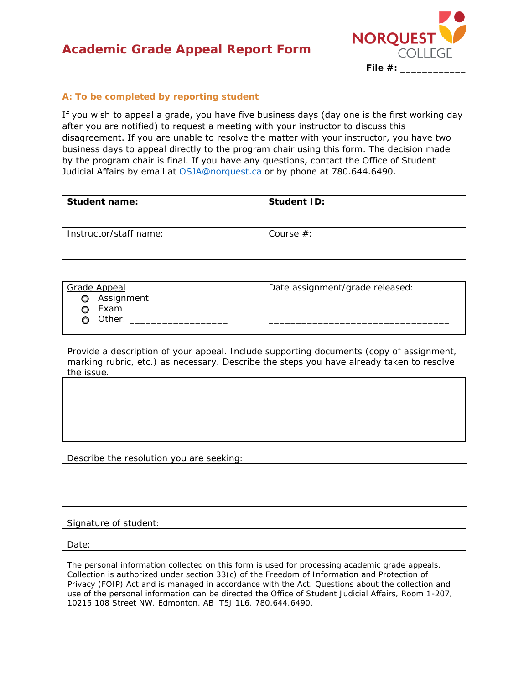## **Academic Grade Appeal Report Form**



## **A: To be completed by reporting student**

If you wish to appeal a grade, you have five business days (day one is the first working day after you are notified) to request a meeting with your instructor to discuss this disagreement. If you are unable to resolve the matter with your instructor, you have two business days to appeal directly to the program chair using this form. The decision made by the program chair is final. If you have any questions, contact the Office of Student Judicial Affairs by email at OSJA@norquest.ca or by phone at 780.644.6490.

| Student name:          | <b>Student ID:</b> |
|------------------------|--------------------|
| Instructor/staff name: | Course $#$ :       |

Grade Appeal **Date assignment/grade released:** 

- o Assignment
	- o Exam
	- $\bigcirc$  Other: \_

Provide a description of your appeal. Include supporting documents (copy of assignment,

marking rubric, etc.) as necessary. Describe the steps you have already taken to resolve the issue.

Describe the resolution you are seeking:

Signature of student:

Date:

The personal information collected on this form is used for processing academic grade appeals. Collection is authorized under section 33(c) of the *Freedom of Information and Protection of Privacy* (FOIP) *Act* and is managed in accordance with the Act. Questions about the collection and use of the personal information can be directed the Office of Student Judicial Affairs, Room 1-207, 10215 108 Street NW, Edmonton, AB T5J 1L6, 780.644.6490.